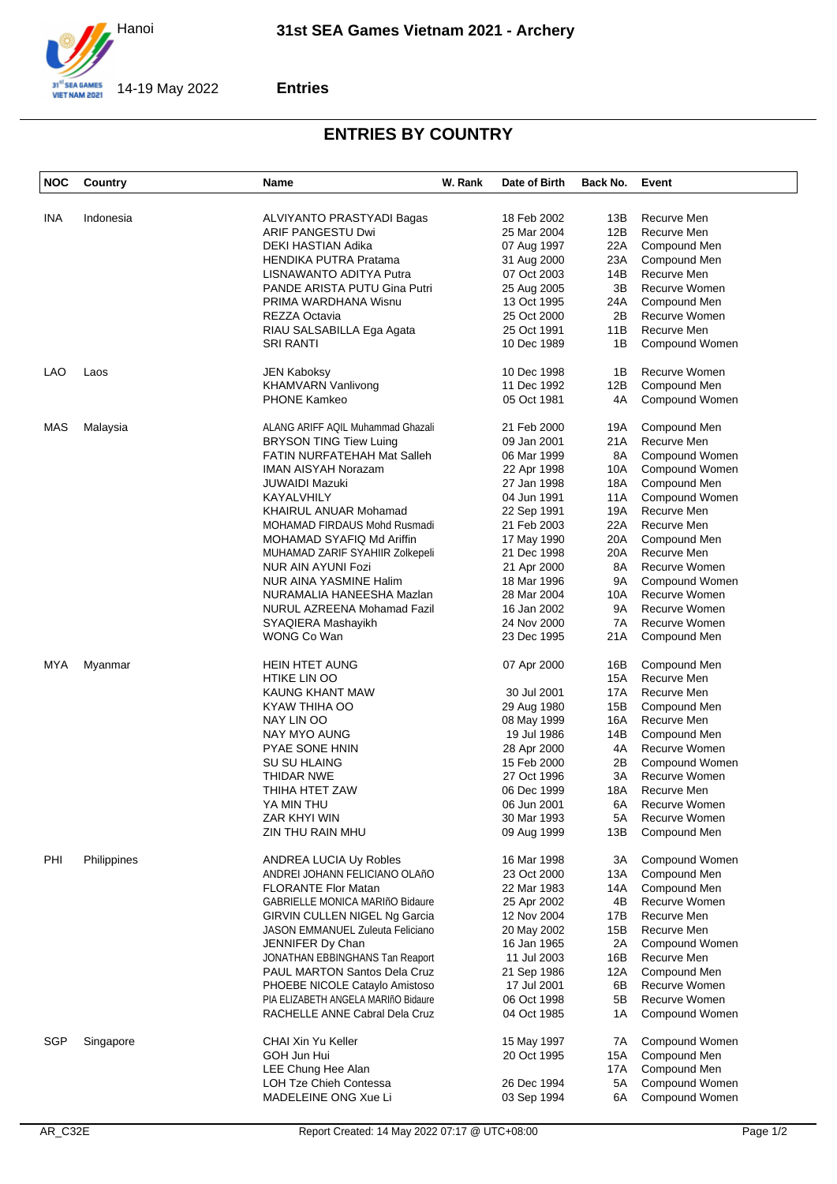

## **Entries**

## **ENTRIES BY COUNTRY**

| <b>NOC</b> | Country     | Name                                   | W. Rank | Date of Birth | Back No. | Event          |
|------------|-------------|----------------------------------------|---------|---------------|----------|----------------|
| INA        | Indonesia   | ALVIYANTO PRASTYADI Bagas              |         | 18 Feb 2002   | 13B      | Recurve Men    |
|            |             | <b>ARIF PANGESTU Dwi</b>               |         | 25 Mar 2004   | 12B      | Recurve Men    |
|            |             | DEKI HASTIAN Adika                     |         | 07 Aug 1997   | 22A      | Compound Men   |
|            |             | <b>HENDIKA PUTRA Pratama</b>           |         | 31 Aug 2000   | 23A      | Compound Men   |
|            |             | LISNAWANTO ADITYA Putra                |         | 07 Oct 2003   | 14B      | Recurve Men    |
|            |             | PANDE ARISTA PUTU Gina Putri           |         | 25 Aug 2005   | 3B       | Recurve Women  |
|            |             | PRIMA WARDHANA Wisnu                   |         | 13 Oct 1995   | 24A      | Compound Men   |
|            |             | REZZA Octavia                          |         | 25 Oct 2000   | 2Β       | Recurve Women  |
|            |             | RIAU SALSABILLA Ega Agata              |         | 25 Oct 1991   | 11B      | Recurve Men    |
|            |             | <b>SRI RANTI</b>                       |         | 10 Dec 1989   | 1B       | Compound Women |
| LAO        | Laos        | JEN Kaboksy                            |         | 10 Dec 1998   | 1B       | Recurve Women  |
|            |             | <b>KHAMVARN Vanlivong</b>              |         | 11 Dec 1992   | 12B      | Compound Men   |
|            |             | <b>PHONE Kamkeo</b>                    |         | 05 Oct 1981   | 4A       | Compound Women |
| MAS        | Malaysia    | ALANG ARIFF AQIL Muhammad Ghazali      |         | 21 Feb 2000   | 19A      | Compound Men   |
|            |             | <b>BRYSON TING Tiew Luing</b>          |         | 09 Jan 2001   | 21A      | Recurve Men    |
|            |             | FATIN NURFATEHAH Mat Salleh            |         | 06 Mar 1999   | 8A       | Compound Women |
|            |             | <b>IMAN AISYAH Norazam</b>             |         | 22 Apr 1998   | 10A      | Compound Women |
|            |             | JUWAIDI Mazuki                         |         | 27 Jan 1998   | 18A      | Compound Men   |
|            |             | KAYALVHILY                             |         | 04 Jun 1991   | 11A      | Compound Women |
|            |             | <b>KHAIRUL ANUAR Mohamad</b>           |         | 22 Sep 1991   | 19A      | Recurve Men    |
|            |             | MOHAMAD FIRDAUS Mohd Rusmadi           |         | 21 Feb 2003   | 22A      | Recurve Men    |
|            |             | MOHAMAD SYAFIQ Md Ariffin              |         | 17 May 1990   | 20A      | Compound Men   |
|            |             | MUHAMAD ZARIF SYAHIIR Zolkepeli        |         | 21 Dec 1998   | 20A      | Recurve Men    |
|            |             | NUR AIN AYUNI Fozi                     |         | 21 Apr 2000   | 8A       | Recurve Women  |
|            |             | <b>NUR AINA YASMINE Halim</b>          |         | 18 Mar 1996   | 9Α       | Compound Women |
|            |             | NURAMALIA HANEESHA Mazlan              |         | 28 Mar 2004   | 10A      | Recurve Women  |
|            |             | NURUL AZREENA Mohamad Fazil            |         | 16 Jan 2002   | 9Α       | Recurve Women  |
|            |             | SYAQIERA Mashayikh                     |         | 24 Nov 2000   | 7A       | Recurve Women  |
|            |             | WONG Co Wan                            |         | 23 Dec 1995   | 21A      | Compound Men   |
| MYA        | Myanmar     | <b>HEIN HTET AUNG</b>                  |         | 07 Apr 2000   | 16B      | Compound Men   |
|            |             | <b>HTIKE LIN OO</b>                    |         |               | 15A      | Recurve Men    |
|            |             | KAUNG KHANT MAW                        |         | 30 Jul 2001   | 17A      | Recurve Men    |
|            |             | KYAW THIHA OO                          |         | 29 Aug 1980   | 15B      | Compound Men   |
|            |             | NAY LIN OO                             |         | 08 May 1999   | 16A      | Recurve Men    |
|            |             | NAY MYO AUNG                           |         | 19 Jul 1986   | 14B      | Compound Men   |
|            |             | PYAE SONE HNIN                         |         | 28 Apr 2000   | 4A       | Recurve Women  |
|            |             | SU SU HLAING                           |         | 15 Feb 2000   | 2B       | Compound Women |
|            |             | THIDAR NWE                             |         | 27 Oct 1996   | ЗA       | Recurve Women  |
|            |             | THIHA HTET ZAW                         |         | 06 Dec 1999   | 18A      | Recurve Men    |
|            |             | YA MIN THU                             |         | 06 Jun 2001   | 6A       | Recurve Women  |
|            |             | ZAR KHYI WIN                           |         | 30 Mar 1993   | 5A       | Recurve Women  |
|            |             | ZIN THU RAIN MHU                       |         | 09 Aug 1999   | 13B      | Compound Men   |
| PHI        | Philippines | ANDREA LUCIA Uy Robles                 |         | 16 Mar 1998   | ЗA       | Compound Women |
|            |             | ANDREI JOHANN FELICIANO OLAñO          |         | 23 Oct 2000   | 13A      | Compound Men   |
|            |             | <b>FLORANTE Flor Matan</b>             |         | 22 Mar 1983   | 14A      | Compound Men   |
|            |             | <b>GABRIELLE MONICA MARIñO Bidaure</b> |         | 25 Apr 2002   | 4B       | Recurve Women  |
|            |             | GIRVIN CULLEN NIGEL Ng Garcia          |         | 12 Nov 2004   | 17B      | Recurve Men    |
|            |             | JASON EMMANUEL Zuleuta Feliciano       |         | 20 May 2002   | 15B      | Recurve Men    |
|            |             | JENNIFER Dy Chan                       |         | 16 Jan 1965   | 2A       | Compound Women |
|            |             | JONATHAN EBBINGHANS Tan Reaport        |         | 11 Jul 2003   | 16B      | Recurve Men    |
|            |             | PAUL MARTON Santos Dela Cruz           |         | 21 Sep 1986   | 12A      | Compound Men   |
|            |             | PHOEBE NICOLE Cataylo Amistoso         |         | 17 Jul 2001   | 6B       | Recurve Women  |
|            |             | PIA ELIZABETH ANGELA MARIñO Bidaure    |         | 06 Oct 1998   | 5Β       | Recurve Women  |
|            |             | RACHELLE ANNE Cabral Dela Cruz         |         | 04 Oct 1985   | 1A       | Compound Women |
| SGP        | Singapore   | CHAI Xin Yu Keller                     |         | 15 May 1997   | 7A       | Compound Women |
|            |             | GOH Jun Hui                            |         | 20 Oct 1995   | 15A      | Compound Men   |
|            |             | LEE Chung Hee Alan                     |         |               | 17A      | Compound Men   |
|            |             | LOH Tze Chieh Contessa                 |         | 26 Dec 1994   | 5A       | Compound Women |
|            |             | MADELEINE ONG Xue Li                   |         | 03 Sep 1994   | 6A       | Compound Women |
|            |             |                                        |         |               |          |                |